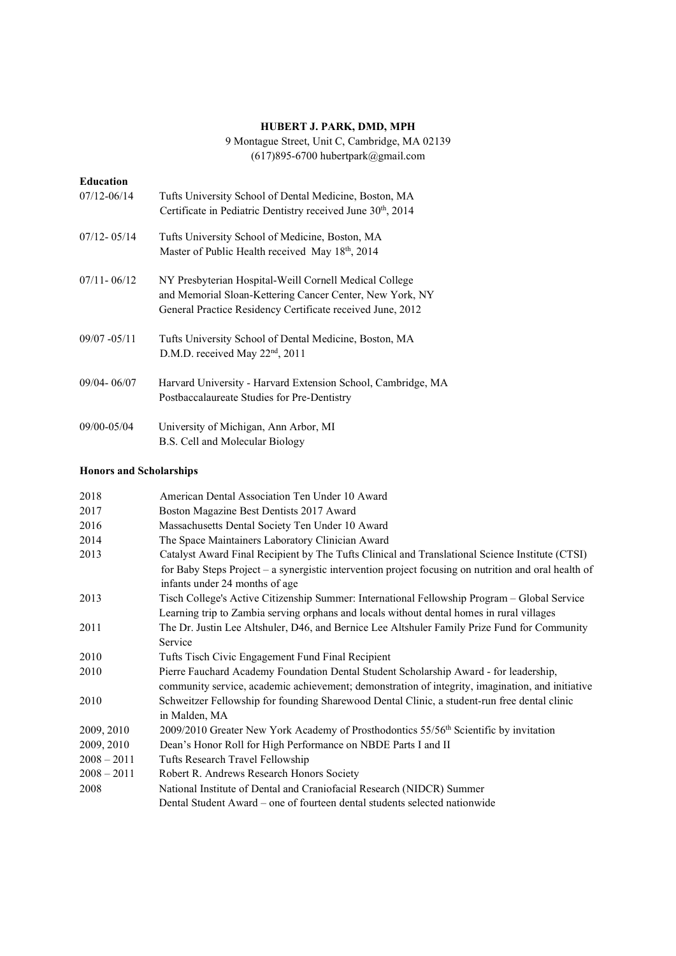### HUBERT J. PARK, DMD, MPH

9 Montague Street, Unit C, Cambridge, MA 02139 (617)895-6700 hubertpark@gmail.com

| <b>Education</b> |                                                                          |
|------------------|--------------------------------------------------------------------------|
| $07/12 - 06/14$  | Tufts University School of Dental Medicine, Boston, MA                   |
|                  | Certificate in Pediatric Dentistry received June 30 <sup>th</sup> , 2014 |
| $07/12 - 05/14$  | Tufts University School of Medicine, Boston, MA                          |
|                  | Master of Public Health received May 18th, 2014                          |
| $07/11 - 06/12$  | NY Presbyterian Hospital-Weill Cornell Medical College                   |
|                  | and Memorial Sloan-Kettering Cancer Center, New York, NY                 |
|                  | General Practice Residency Certificate received June, 2012               |
| $09/07 - 05/11$  | Tufts University School of Dental Medicine, Boston, MA                   |
|                  | D.M.D. received May 22 <sup>nd</sup> , 2011                              |
| $09/04 - 06/07$  | Harvard University - Harvard Extension School, Cambridge, MA             |
|                  | Postbaccalaureate Studies for Pre-Dentistry                              |
| 09/00-05/04      | University of Michigan, Ann Arbor, MI                                    |
|                  | B.S. Cell and Molecular Biology                                          |

# Honors and Scholarships

| 2018          | American Dental Association Ten Under 10 Award                                                       |
|---------------|------------------------------------------------------------------------------------------------------|
| 2017          | Boston Magazine Best Dentists 2017 Award                                                             |
| 2016          | Massachusetts Dental Society Ten Under 10 Award                                                      |
| 2014          | The Space Maintainers Laboratory Clinician Award                                                     |
| 2013          | Catalyst Award Final Recipient by The Tufts Clinical and Translational Science Institute (CTSI)      |
|               | for Baby Steps Project – a synergistic intervention project focusing on nutrition and oral health of |
|               | infants under 24 months of age                                                                       |
| 2013          | Tisch College's Active Citizenship Summer: International Fellowship Program - Global Service         |
|               | Learning trip to Zambia serving orphans and locals without dental homes in rural villages            |
| 2011          | The Dr. Justin Lee Altshuler, D46, and Bernice Lee Altshuler Family Prize Fund for Community         |
|               | Service                                                                                              |
| 2010          | Tufts Tisch Civic Engagement Fund Final Recipient                                                    |
| 2010          | Pierre Fauchard Academy Foundation Dental Student Scholarship Award - for leadership,                |
|               | community service, academic achievement; demonstration of integrity, imagination, and initiative     |
| 2010          | Schweitzer Fellowship for founding Sharewood Dental Clinic, a student-run free dental clinic         |
|               | in Malden, MA                                                                                        |
| 2009, 2010    | 2009/2010 Greater New York Academy of Prosthodontics 55/56 <sup>th</sup> Scientific by invitation    |
| 2009, 2010    | Dean's Honor Roll for High Performance on NBDE Parts I and II                                        |
| $2008 - 2011$ | Tufts Research Travel Fellowship                                                                     |
| $2008 - 2011$ | Robert R. Andrews Research Honors Society                                                            |
| 2008          | National Institute of Dental and Craniofacial Research (NIDCR) Summer                                |
|               | Dental Student Award – one of fourteen dental students selected nationwide                           |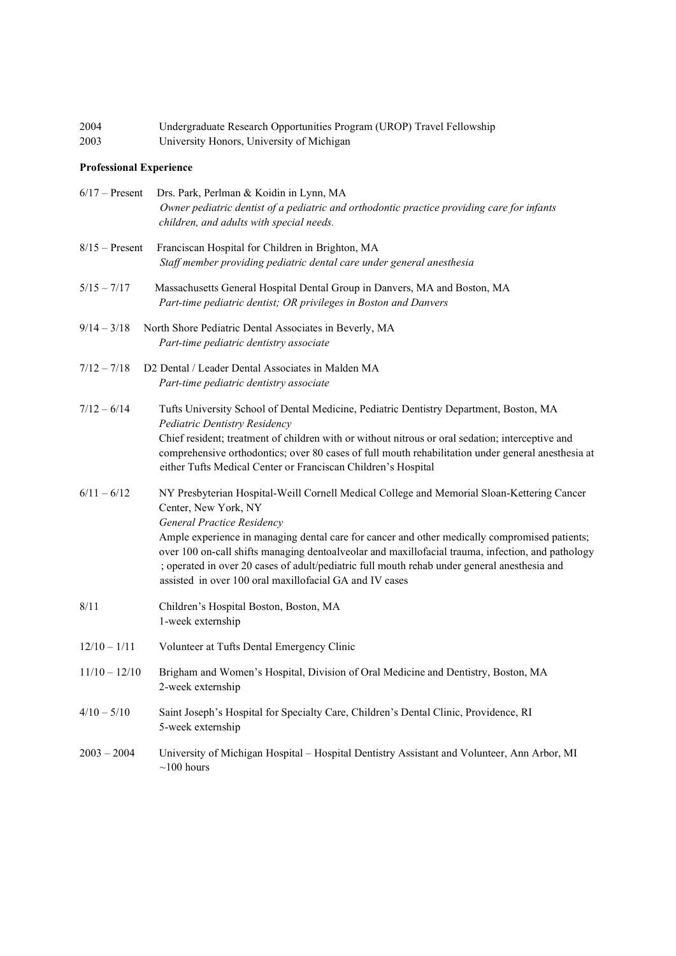| 2004 | Undergraduate Research Opportunities Program (UROP) Travel Fellowship |
|------|-----------------------------------------------------------------------|
| 2003 | University Honors, University of Michigan                             |

#### Professional Experience

| $6/17$ – Present | Drs. Park, Perlman & Koidin in Lynn, MA<br>Owner pediatric dentist of a pediatric and orthodontic practice providing care for infants<br>children, and adults with special needs.                                                                                                                                                                                                                                                                                                                                 |
|------------------|-------------------------------------------------------------------------------------------------------------------------------------------------------------------------------------------------------------------------------------------------------------------------------------------------------------------------------------------------------------------------------------------------------------------------------------------------------------------------------------------------------------------|
| $8/15$ – Present | Franciscan Hospital for Children in Brighton, MA<br>Staff member providing pediatric dental care under general anesthesia                                                                                                                                                                                                                                                                                                                                                                                         |
| $5/15 - 7/17$    | Massachusetts General Hospital Dental Group in Danvers, MA and Boston, MA<br>Part-time pediatric dentist; OR privileges in Boston and Danvers                                                                                                                                                                                                                                                                                                                                                                     |
| $9/14 - 3/18$    | North Shore Pediatric Dental Associates in Beverly, MA<br>Part-time pediatric dentistry associate                                                                                                                                                                                                                                                                                                                                                                                                                 |
| $7/12 - 7/18$    | D2 Dental / Leader Dental Associates in Malden MA<br>Part-time pediatric dentistry associate                                                                                                                                                                                                                                                                                                                                                                                                                      |
| $7/12 - 6/14$    | Tufts University School of Dental Medicine, Pediatric Dentistry Department, Boston, MA<br>Pediatric Dentistry Residency<br>Chief resident; treatment of children with or without nitrous or oral sedation; interceptive and<br>comprehensive orthodontics; over 80 cases of full mouth rehabilitation under general anesthesia at<br>either Tufts Medical Center or Franciscan Children's Hospital                                                                                                                |
| $6/11 - 6/12$    | NY Presbyterian Hospital-Weill Cornell Medical College and Memorial Sloan-Kettering Cancer<br>Center, New York, NY<br>General Practice Residency<br>Ample experience in managing dental care for cancer and other medically compromised patients;<br>over 100 on-call shifts managing dentoalveolar and maxillofacial trauma, infection, and pathology<br>; operated in over 20 cases of adult/pediatric full mouth rehab under general anesthesia and<br>assisted in over 100 oral maxillofacial GA and IV cases |
| 8/11             | Children's Hospital Boston, Boston, MA<br>1-week externship                                                                                                                                                                                                                                                                                                                                                                                                                                                       |
| $12/10 - 1/11$   | Volunteer at Tufts Dental Emergency Clinic                                                                                                                                                                                                                                                                                                                                                                                                                                                                        |
| $11/10 - 12/10$  | Brigham and Women's Hospital, Division of Oral Medicine and Dentistry, Boston, MA<br>2-week externship                                                                                                                                                                                                                                                                                                                                                                                                            |
| $4/10 - 5/10$    | Saint Joseph's Hospital for Specialty Care, Children's Dental Clinic, Providence, RI<br>5-week externship                                                                                                                                                                                                                                                                                                                                                                                                         |
| $2003 - 2004$    | University of Michigan Hospital - Hospital Dentistry Assistant and Volunteer, Ann Arbor, MI<br>${\sim}100$ hours                                                                                                                                                                                                                                                                                                                                                                                                  |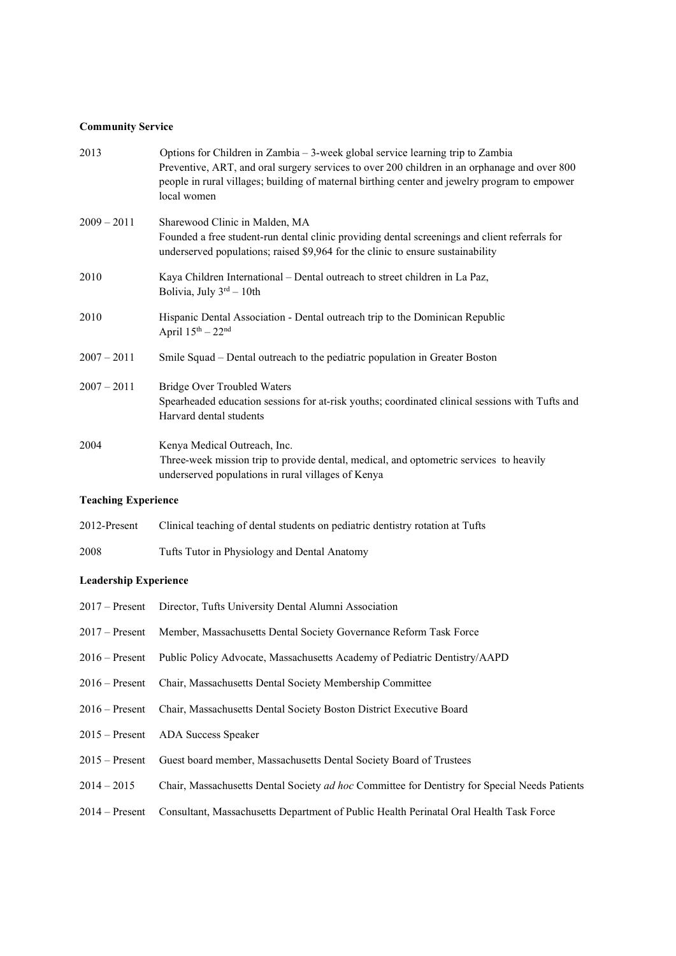# Community Service

| 2013          | Options for Children in Zambia $-3$ -week global service learning trip to Zambia<br>Preventive, ART, and oral surgery services to over 200 children in an orphanage and over 800<br>people in rural villages; building of maternal birthing center and jewelry program to empower<br>local women |
|---------------|--------------------------------------------------------------------------------------------------------------------------------------------------------------------------------------------------------------------------------------------------------------------------------------------------|
| $2009 - 2011$ | Sharewood Clinic in Malden, MA                                                                                                                                                                                                                                                                   |
|               | Founded a free student-run dental clinic providing dental screenings and client referrals for<br>underserved populations; raised \$9,964 for the clinic to ensure sustainability                                                                                                                 |
| 2010          | Kaya Children International – Dental outreach to street children in La Paz,<br>Bolivia, July $3rd - 10th$                                                                                                                                                                                        |
| 2010          | Hispanic Dental Association - Dental outreach trip to the Dominican Republic<br>April $15^{th} - 22^{nd}$                                                                                                                                                                                        |
| $2007 - 2011$ | Smile Squad – Dental outreach to the pediatric population in Greater Boston                                                                                                                                                                                                                      |
| $2007 - 2011$ | <b>Bridge Over Troubled Waters</b><br>Spearheaded education sessions for at-risk youths; coordinated clinical sessions with Tufts and                                                                                                                                                            |
|               | Harvard dental students                                                                                                                                                                                                                                                                          |
| 2004          | Kenya Medical Outreach, Inc.<br>Three-week mission trip to provide dental, medical, and optometric services to heavily<br>underserved populations in rural villages of Kenya                                                                                                                     |
|               |                                                                                                                                                                                                                                                                                                  |

# Teaching Experience

| 2012-Present | Clinical teaching of dental students on pediatric dentistry rotation at Tufts |
|--------------|-------------------------------------------------------------------------------|
| 2008         | Tufts Tutor in Physiology and Dental Anatomy                                  |

# Leadership Experience

|                  | 2017 – Present Director, Tufts University Dental Alumni Association                           |
|------------------|-----------------------------------------------------------------------------------------------|
| $2017 -$ Present | Member, Massachusetts Dental Society Governance Reform Task Force                             |
| $2016$ – Present | Public Policy Advocate, Massachusetts Academy of Pediatric Dentistry/AAPD                     |
| $2016 -$ Present | Chair, Massachusetts Dental Society Membership Committee                                      |
| $2016 -$ Present | Chair, Massachusetts Dental Society Boston District Executive Board                           |
| $2015 -$ Present | ADA Success Speaker                                                                           |
| $2015 -$ Present | Guest board member, Massachusetts Dental Society Board of Trustees                            |
| $2014 - 2015$    | Chair, Massachusetts Dental Society ad hoc Committee for Dentistry for Special Needs Patients |
| $2014 -$ Present | Consultant, Massachusetts Department of Public Health Perinatal Oral Health Task Force        |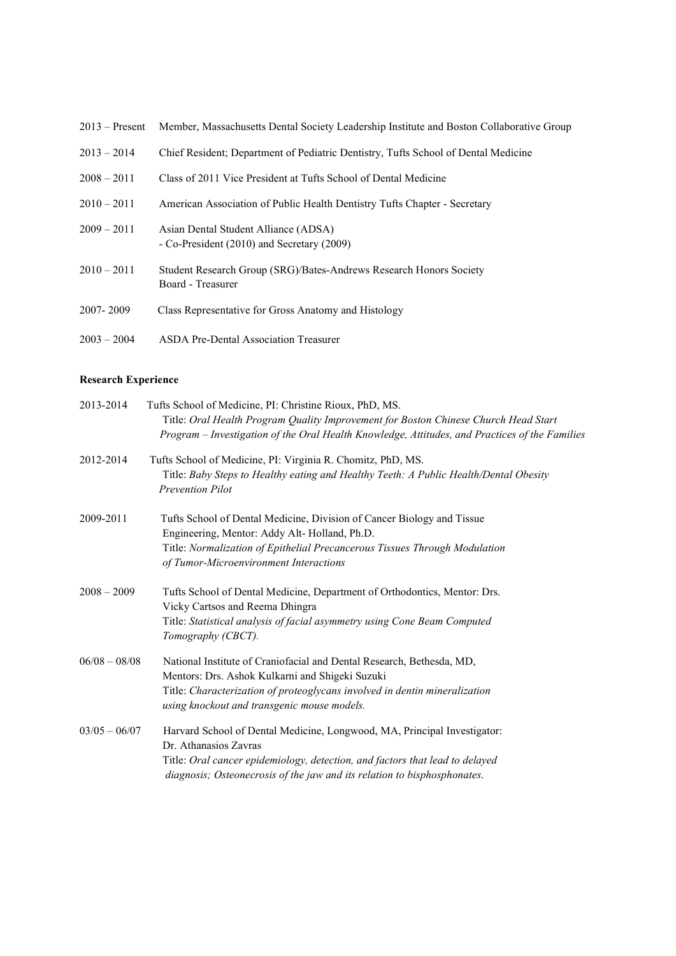| $2013 -$ Present | Member, Massachusetts Dental Society Leadership Institute and Boston Collaborative Group |
|------------------|------------------------------------------------------------------------------------------|
| $2013 - 2014$    | Chief Resident; Department of Pediatric Dentistry, Tufts School of Dental Medicine       |
| $2008 - 2011$    | Class of 2011 Vice President at Tufts School of Dental Medicine                          |
| $2010 - 2011$    | American Association of Public Health Dentistry Tufts Chapter - Secretary                |
| $2009 - 2011$    | Asian Dental Student Alliance (ADSA)<br>- Co-President (2010) and Secretary (2009)       |
| $2010 - 2011$    | Student Research Group (SRG)/Bates-Andrews Research Honors Society<br>Board - Treasurer  |
| 2007-2009        | Class Representative for Gross Anatomy and Histology                                     |
| $2003 - 2004$    | <b>ASDA Pre-Dental Association Treasurer</b>                                             |

### Research Experience

| 2013-2014       | Tufts School of Medicine, PI: Christine Rioux, PhD, MS.<br>Title: Oral Health Program Quality Improvement for Boston Chinese Church Head Start<br>Program - Investigation of the Oral Health Knowledge, Attitudes, and Practices of the Families              |
|-----------------|---------------------------------------------------------------------------------------------------------------------------------------------------------------------------------------------------------------------------------------------------------------|
| 2012-2014       | Tufts School of Medicine, PI: Virginia R. Chomitz, PhD, MS.<br>Title: Baby Steps to Healthy eating and Healthy Teeth: A Public Health/Dental Obesity<br><b>Prevention Pilot</b>                                                                               |
| 2009-2011       | Tufts School of Dental Medicine, Division of Cancer Biology and Tissue<br>Engineering, Mentor: Addy Alt-Holland, Ph.D.<br>Title: Normalization of Epithelial Precancerous Tissues Through Modulation<br>of Tumor-Microenvironment Interactions                |
| $2008 - 2009$   | Tufts School of Dental Medicine, Department of Orthodontics, Mentor: Drs.<br>Vicky Cartsos and Reema Dhingra<br>Title: Statistical analysis of facial asymmetry using Cone Beam Computed<br>Tomography (CBCT).                                                |
| $06/08 - 08/08$ | National Institute of Craniofacial and Dental Research, Bethesda, MD,<br>Mentors: Drs. Ashok Kulkarni and Shigeki Suzuki<br>Title: Characterization of proteoglycans involved in dentin mineralization<br>using knockout and transgenic mouse models.         |
| $03/05 - 06/07$ | Harvard School of Dental Medicine, Longwood, MA, Principal Investigator:<br>Dr. Athanasios Zavras<br>Title: Oral cancer epidemiology, detection, and factors that lead to delayed<br>diagnosis; Osteonecrosis of the jaw and its relation to bisphosphonates. |